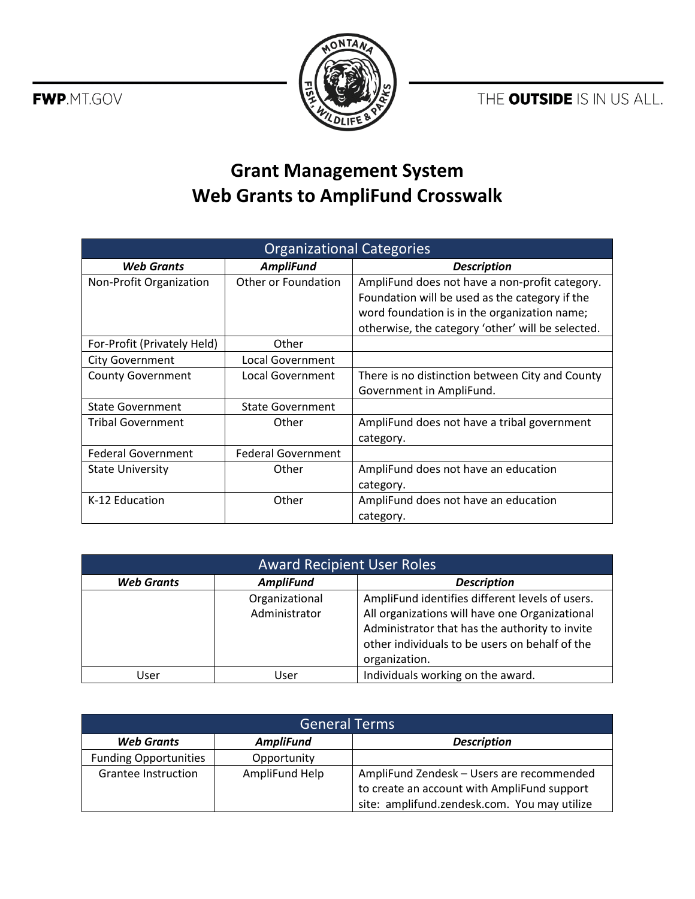THE OUTSIDE IS IN US ALL.





## **Grant Management System Web Grants to AmpliFund Crosswalk**

| <b>Organizational Categories</b> |                           |                                                   |  |
|----------------------------------|---------------------------|---------------------------------------------------|--|
| <b>Web Grants</b>                | <b>AmpliFund</b>          | <b>Description</b>                                |  |
| Non-Profit Organization          | Other or Foundation       | AmpliFund does not have a non-profit category.    |  |
|                                  |                           | Foundation will be used as the category if the    |  |
|                                  |                           | word foundation is in the organization name;      |  |
|                                  |                           | otherwise, the category 'other' will be selected. |  |
| For-Profit (Privately Held)      | Other                     |                                                   |  |
| <b>City Government</b>           | Local Government          |                                                   |  |
| <b>County Government</b>         | Local Government          | There is no distinction between City and County   |  |
|                                  |                           | Government in AmpliFund.                          |  |
| <b>State Government</b>          | <b>State Government</b>   |                                                   |  |
| <b>Tribal Government</b>         | Other                     | AmpliFund does not have a tribal government       |  |
|                                  |                           | category.                                         |  |
| <b>Federal Government</b>        | <b>Federal Government</b> |                                                   |  |
| <b>State University</b>          | Other                     | AmpliFund does not have an education              |  |
|                                  |                           | category.                                         |  |
| K-12 Education                   | Other                     | AmpliFund does not have an education              |  |
|                                  |                           | category.                                         |  |

| <b>Award Recipient User Roles</b> |                  |                                                 |
|-----------------------------------|------------------|-------------------------------------------------|
| <b>Web Grants</b>                 | <b>AmpliFund</b> | <b>Description</b>                              |
|                                   | Organizational   | AmpliFund identifies different levels of users. |
|                                   | Administrator    | All organizations will have one Organizational  |
|                                   |                  | Administrator that has the authority to invite  |
|                                   |                  | other individuals to be users on behalf of the  |
|                                   |                  | organization.                                   |
| User                              | User             | Individuals working on the award.               |

| <b>General Terms</b>         |                  |                                              |
|------------------------------|------------------|----------------------------------------------|
| <b>Web Grants</b>            | <b>AmpliFund</b> | <b>Description</b>                           |
| <b>Funding Opportunities</b> | Opportunity      |                                              |
| Grantee Instruction          | AmpliFund Help   | AmpliFund Zendesk - Users are recommended    |
|                              |                  | to create an account with AmpliFund support  |
|                              |                  | site: amplifund.zendesk.com. You may utilize |